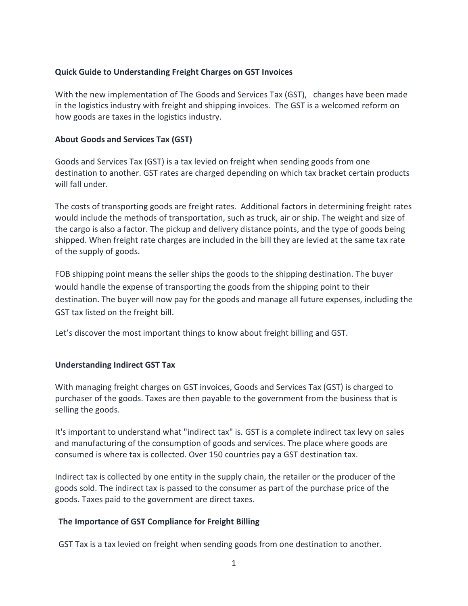#### **Quick Guide to Understanding Freight Charges on GST Invoices**

With the new implementation of The Goods and Services Tax (GST), changes have been made in the logistics industry with freight and shipping invoices. The GST is a welcomed reform on how goods are taxes in the logistics industry.

#### **About Goods and Services Tax (GST)**

Goods and Services Tax (GST) is a tax levied on freight when sending goods from one destination to another. GST rates are charged depending on which tax bracket certain products will fall under.

The costs of transporting goods are freight rates. Additional factors in determining freight rates would include the methods of transportation, such as truck, air or ship. The weight and size of the cargo is also a factor. The pickup and delivery distance points, and the type of goods being shipped. When freight rate charges are included in the bill they are levied at the same tax rate of the supply of goods.

FOB shipping point means the seller ships the goods to the shipping destination. The buyer would handle the expense of transporting the goods from the shipping point to their destination. The buyer will now pay for the goods and manage all future expenses, including the GST tax listed on the freight bill.

Let's discover the most important things to know about freight billing and GST.

# **Understanding Indirect GST Tax**

With managing freight charges on GST invoices, Goods and Services Tax (GST) is charged to purchaser of the goods. Taxes are then payable to the government from the business that is selling the goods.

It's important to understand what "indirect tax" is. GST is a complete indirect tax levy on sales and manufacturing of the consumption of goods and services. The place where goods are consumed is where tax is collected. Over 150 countries pay a GST destination tax.

Indirect tax is collected by one entity in the supply chain, the retailer or the producer of the goods sold. The indirect tax is passed to the consumer as part of the purchase price of the goods. Taxes paid to the government are direct taxes.

# **The Importance of GST Compliance for Freight Billing**

GST Tax is a tax levied on freight when sending goods from one destination to another.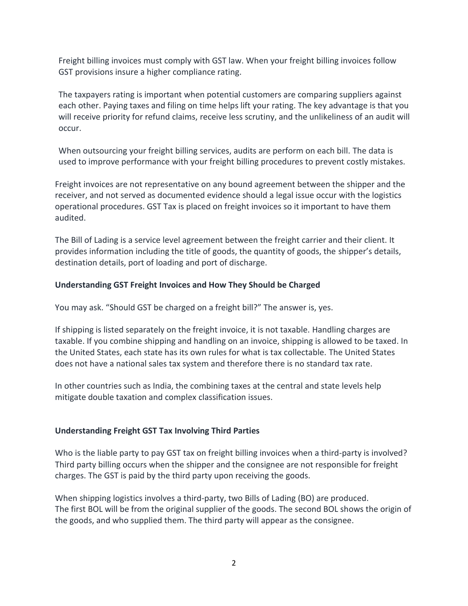Freight billing invoices must comply with GST law. When your freight billing invoices follow GST provisions insure a higher compliance rating.

The taxpayers rating is important when potential customers are comparing suppliers against each other. Paying taxes and filing on time helps lift your rating. The key advantage is that you will receive priority for refund claims, receive less scrutiny, and the unlikeliness of an audit will occur.

When outsourcing your freight billing services, audits are perform on each bill. The data is used to improve performance with your freight billing procedures to prevent costly mistakes.

Freight invoices are not representative on any bound agreement between the shipper and the receiver, and not served as documented evidence should a legal issue occur with the logistics operational procedures. GST Tax is placed on freight invoices so it important to have them audited.

The Bill of Lading is a service level agreement between the freight carrier and their client. It provides information including the title of goods, the quantity of goods, the shipper's details, destination details, port of loading and port of discharge.

# **Understanding GST Freight Invoices and How They Should be Charged**

You may ask. "Should GST be charged on a freight bill?" The answer is, yes.

If shipping is listed separately on the freight invoice, it is not taxable. Handling charges are taxable. If you combine shipping and handling on an invoice, shipping is allowed to be taxed. In the United States, each state has its own rules for what is tax collectable. The United States does not have a national sales tax system and therefore there is no standard tax rate.

In other countries such as India, the combining taxes at the central and state levels help mitigate double taxation and complex classification issues.

# **Understanding Freight GST Tax Involving Third Parties**

Who is the liable party to pay GST tax on freight billing invoices when a third-party is involved? Third party billing occurs when the shipper and the consignee are not responsible for freight charges. The GST is paid by the third party upon receiving the goods.

When shipping logistics involves a third-party, two Bills of Lading (BO) are produced. The first BOL will be from the original supplier of the goods. The second BOL shows the origin of the goods, and who supplied them. The third party will appear as the consignee.